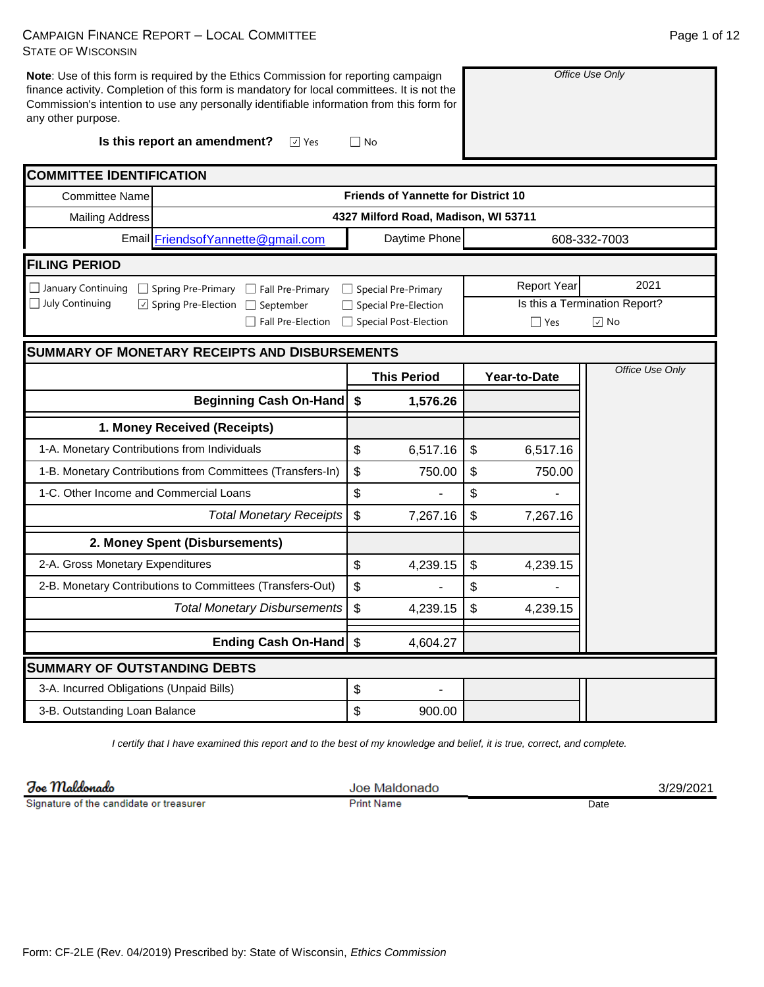| <b>CAMPAIGN FINANCE REPORT - LOCAL COMMITTEE</b> |  |
|--------------------------------------------------|--|
| <b>STATE OF WISCONSIN</b>                        |  |

**Note**: Use of this form is required by the Ethics Commission for reporting campaign finance activity. Completion of this form is mandatory for local committees. It is not the Commission's intention to use any personally identifiable information from this form for any other purpose.

**Is this report an amendment?**

| <b>COMMITTEE IDENTIFICATION</b>                                                |                           |                                            |                           |                    |                               |
|--------------------------------------------------------------------------------|---------------------------|--------------------------------------------|---------------------------|--------------------|-------------------------------|
| <b>Committee Name</b>                                                          |                           | <b>Friends of Yannette for District 10</b> |                           |                    |                               |
| <b>Mailing Address</b>                                                         |                           | 4327 Milford Road, Madison, WI 53711       |                           |                    |                               |
| Email FriendsofYannette@gmail.com                                              |                           | Daytime Phone                              |                           |                    | 608-332-7003                  |
| <b>FILING PERIOD</b>                                                           |                           |                                            |                           |                    |                               |
| $\Box$ January Continuing<br>$\Box$ Spring Pre-Primary $\Box$ Fall Pre-Primary |                           | $\Box$ Special Pre-Primary                 |                           | <b>Report Year</b> | 2021                          |
| $\Box$ July Continuing<br>☑ Spring Pre-Election<br>$\Box$ September            |                           | □ Special Pre-Election                     |                           |                    | Is this a Termination Report? |
| Fall Pre-Election                                                              |                           | □ Special Post-Election                    |                           | $\Box$ Yes         | $\boxed{\vee}$ No             |
| <b>SUMMARY OF MONETARY RECEIPTS AND DISBURSEMENTS</b>                          |                           |                                            |                           |                    |                               |
|                                                                                |                           | <b>This Period</b>                         |                           | Year-to-Date       | Office Use Only               |
| <b>Beginning Cash On-Hand</b>                                                  | \$                        | 1,576.26                                   |                           |                    |                               |
| 1. Money Received (Receipts)                                                   |                           |                                            |                           |                    |                               |
| 1-A. Monetary Contributions from Individuals                                   | \$                        | 6,517.16                                   | $\boldsymbol{\mathsf{S}}$ | 6,517.16           |                               |
| 1-B. Monetary Contributions from Committees (Transfers-In)                     | \$                        | 750.00                                     | \$                        | 750.00             |                               |
| 1-C. Other Income and Commercial Loans                                         | \$                        |                                            | \$                        |                    |                               |
| <b>Total Monetary Receipts</b>                                                 | $\boldsymbol{\mathsf{S}}$ | 7,267.16                                   | \$                        | 7,267.16           |                               |
| 2. Money Spent (Disbursements)                                                 |                           |                                            |                           |                    |                               |
| 2-A. Gross Monetary Expenditures                                               | \$                        | 4,239.15                                   | \$                        | 4,239.15           |                               |
| 2-B. Monetary Contributions to Committees (Transfers-Out)                      | \$                        |                                            | \$                        |                    |                               |
| <b>Total Monetary Disbursements</b>                                            | $\boldsymbol{\mathsf{S}}$ | 4,239.15                                   | \$                        | 4,239.15           |                               |
| <b>Ending Cash On-Hand</b>                                                     | $\boldsymbol{\mathsf{S}}$ | 4,604.27                                   |                           |                    |                               |
| <b>SUMMARY OF OUTSTANDING DEBTS</b>                                            |                           |                                            |                           |                    |                               |
| 3-A. Incurred Obligations (Unpaid Bills)                                       | \$                        |                                            |                           |                    |                               |
| 3-B. Outstanding Loan Balance                                                  | \$                        | 900.00                                     |                           |                    |                               |

√ Yes △ No

*I certify that I have examined this report and to the best of my knowledge and belief, it is true, correct, and complete.*

Joe Maldonado

Signature of the candidate or treasurer

Joe Maldonado Print Name Date

3/29/2021

*Office Use Only*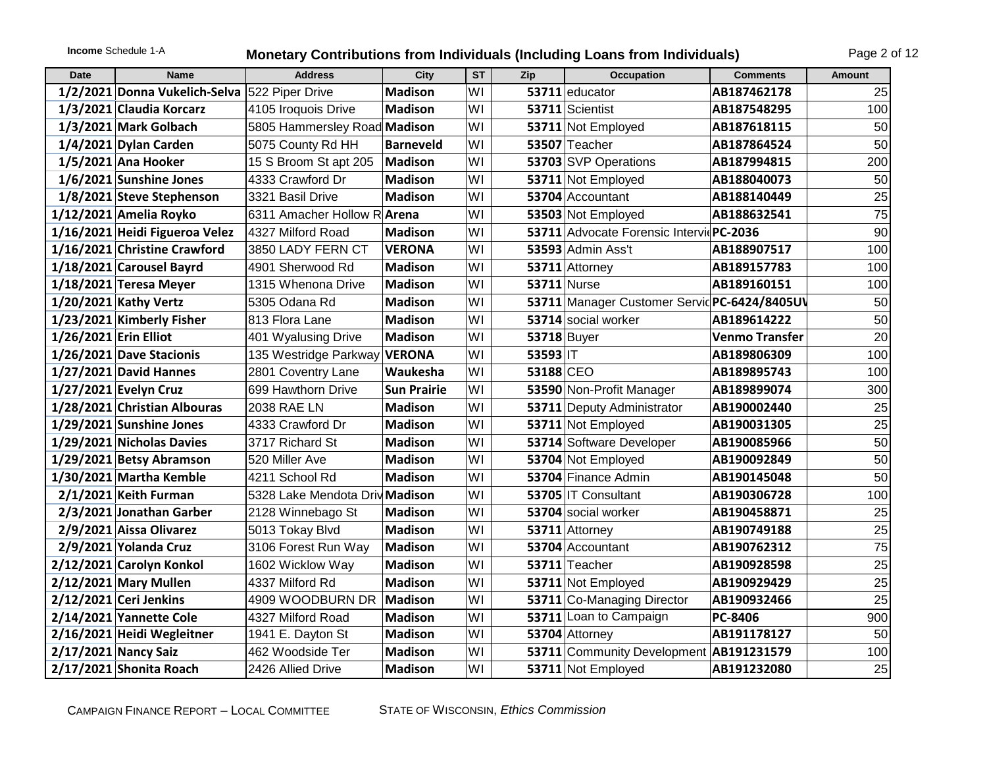# **Income** Schedule 1-A **Monetary Contributions from Individuals (Including Loans from Individuals)** Page 2 of 12

| Date                  | <b>Name</b>                    | <b>Address</b>                 | City               | $\overline{\text{ST}}$ | Zip       | <b>Occupation</b>                            | <b>Comments</b>       | <b>Amount</b> |
|-----------------------|--------------------------------|--------------------------------|--------------------|------------------------|-----------|----------------------------------------------|-----------------------|---------------|
|                       | 1/2/2021 Donna Vukelich-Selva  | 522 Piper Drive                | <b>Madison</b>     | WI                     |           | 53711 educator                               | AB187462178           | 25            |
|                       | 1/3/2021 Claudia Korcarz       | 4105 Iroquois Drive            | <b>Madison</b>     | WI                     |           | 53711 Scientist                              | AB187548295           | 100           |
|                       | 1/3/2021 Mark Golbach          | 5805 Hammersley Road Madison   |                    | WI                     |           | 53711 Not Employed                           | AB187618115           | 50            |
|                       | $1/4/2021$ Dylan Carden        | 5075 County Rd HH              | <b>Barneveld</b>   | WI                     |           | 53507 Teacher                                | AB187864524           | 50            |
|                       | 1/5/2021 Ana Hooker            | 15 S Broom St apt 205          | Madison            | WI                     |           | 53703 SVP Operations                         | AB187994815           | 200           |
|                       | 1/6/2021 Sunshine Jones        | 4333 Crawford Dr               | <b>Madison</b>     | WI                     |           | 53711 Not Employed                           | AB188040073           | 50            |
|                       | 1/8/2021 Steve Stephenson      | 3321 Basil Drive               | <b>Madison</b>     | WI                     |           | 53704 Accountant                             | AB188140449           | 25            |
|                       | 1/12/2021 Amelia Royko         | 6311 Amacher Hollow R Arena    |                    | WI                     |           | 53503 Not Employed                           | AB188632541           | 75            |
|                       | 1/16/2021 Heidi Figueroa Velez | 4327 Milford Road              | <b>Madison</b>     | WI                     |           | 53711 Advocate Forensic Intervic PC-2036     |                       | 90            |
|                       | 1/16/2021 Christine Crawford   | 3850 LADY FERN CT              | <b>VERONA</b>      | WI                     |           | 53593 Admin Ass't                            | AB188907517           | 100           |
|                       | 1/18/2021 Carousel Bayrd       | 4901 Sherwood Rd               | <b>Madison</b>     | WI                     |           | 53711 Attorney                               | AB189157783           | 100           |
|                       | 1/18/2021 Teresa Meyer         | 1315 Whenona Drive             | <b>Madison</b>     | WI                     |           | <b>53711 Nurse</b>                           | AB189160151           | 100           |
|                       | 1/20/2021 Kathy Vertz          | 5305 Odana Rd                  | <b>Madison</b>     | WI                     |           | 53711 Manager Customer Servid PC-6424/8405UV |                       | 50            |
|                       | 1/23/2021 Kimberly Fisher      | 813 Flora Lane                 | <b>Madison</b>     | WI                     |           | 53714 social worker                          | AB189614222           | 50            |
| 1/26/2021 Erin Elliot |                                | 401 Wyalusing Drive            | <b>Madison</b>     | WI                     |           | 53718 Buyer                                  | <b>Venmo Transfer</b> | 20            |
|                       | 1/26/2021 Dave Stacionis       | 135 Westridge Parkway VERONA   |                    | WI                     | 53593 IT  |                                              | AB189806309           | 100           |
|                       | $1/27/2021$ David Hannes       | 2801 Coventry Lane             | Waukesha           | WI                     | 53188 CEO |                                              | AB189895743           | 100           |
|                       | 1/27/2021 Evelyn Cruz          | 699 Hawthorn Drive             | <b>Sun Prairie</b> | WI                     |           | 53590 Non-Profit Manager                     | AB189899074           | 300           |
|                       | 1/28/2021 Christian Albouras   | 2038 RAE LN                    | <b>Madison</b>     | WI                     |           | 53711 Deputy Administrator                   | AB190002440           | 25            |
|                       | 1/29/2021 Sunshine Jones       | 4333 Crawford Dr               | <b>Madison</b>     | WI                     |           | 53711 Not Employed                           | AB190031305           | 25            |
|                       | 1/29/2021 Nicholas Davies      | 3717 Richard St                | <b>Madison</b>     | WI                     |           | 53714 Software Developer                     | AB190085966           | 50            |
|                       | 1/29/2021 Betsy Abramson       | 520 Miller Ave                 | <b>Madison</b>     | WI                     |           | 53704 Not Employed                           | AB190092849           | 50            |
|                       | 1/30/2021 Martha Kemble        | 4211 School Rd                 | <b>Madison</b>     | WI                     |           | 53704 Finance Admin                          | AB190145048           | 50            |
|                       | 2/1/2021 Keith Furman          | 5328 Lake Mendota Driv Madison |                    | WI                     |           | 53705 IT Consultant                          | AB190306728           | 100           |
|                       | 2/3/2021 Jonathan Garber       | 2128 Winnebago St              | <b>Madison</b>     | WI                     |           | 53704 social worker                          | AB190458871           | 25            |
|                       | 2/9/2021 Aissa Olivarez        | 5013 Tokay Blvd                | <b>Madison</b>     | WI                     |           | 53711 Attorney                               | AB190749188           | 25            |
|                       | 2/9/2021 Yolanda Cruz          | 3106 Forest Run Way            | Madison            | WI                     |           | 53704 Accountant                             | AB190762312           | 75            |
|                       | 2/12/2021 Carolyn Konkol       | 1602 Wicklow Way               | <b>Madison</b>     | WI                     |           | 53711 Teacher                                | AB190928598           | 25            |
|                       | 2/12/2021 Mary Mullen          | 4337 Milford Rd                | <b>Madison</b>     | WI                     |           | 53711 Not Employed                           | AB190929429           | 25            |
|                       | $2/12/2021$ Ceri Jenkins       | 4909 WOODBURN DR               | Madison            | WI                     |           | 53711 Co-Managing Director                   | AB190932466           | 25            |
|                       | 2/14/2021 Yannette Cole        | 4327 Milford Road              | <b>Madison</b>     | WI                     |           | 53711 Loan to Campaign                       | PC-8406               | 900           |
|                       | 2/16/2021 Heidi Wegleitner     | 1941 E. Dayton St              | <b>Madison</b>     | WI                     |           | 53704 Attorney                               | AB191178127           | 50            |
|                       | 2/17/2021 Nancy Saiz           | 462 Woodside Ter               | <b>Madison</b>     | WI                     |           | 53711 Community Development AB191231579      |                       | 100           |
|                       | 2/17/2021 Shonita Roach        | 2426 Allied Drive              | <b>Madison</b>     | WI                     |           | 53711 Not Employed                           | AB191232080           | 25            |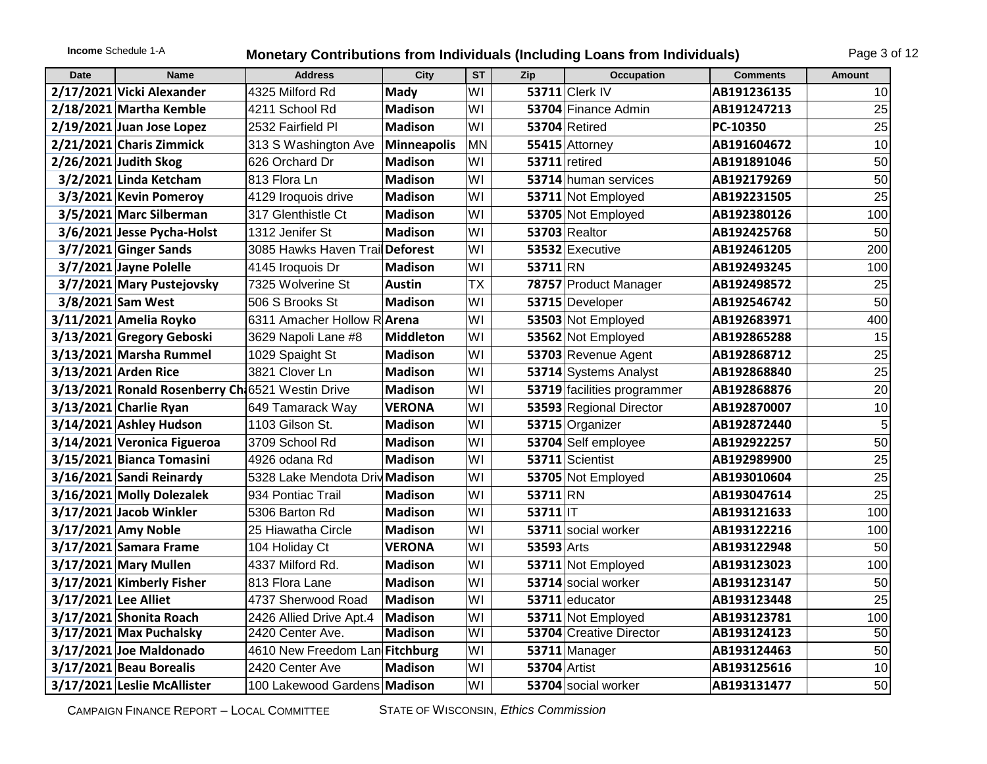# **Income** Schedule 1-A **Monetary Contributions from Individuals (Including Loans from Individuals)** Page 3 of 12

| <b>Date</b>          | <b>Name</b>                                      | <b>Address</b>                     | <b>City</b>    | <b>ST</b>      | Zip                 | <b>Occupation</b>           | <b>Comments</b> | Amount |
|----------------------|--------------------------------------------------|------------------------------------|----------------|----------------|---------------------|-----------------------------|-----------------|--------|
|                      | 2/17/2021 Vicki Alexander                        | 4325 Milford Rd                    | Mady           | WI             |                     | 53711 Clerk IV              | AB191236135     | 10     |
|                      | 2/18/2021 Martha Kemble                          | 4211 School Rd                     | Madison        | WI             |                     | 53704 Finance Admin         | AB191247213     | 25     |
|                      | 2/19/2021 Juan Jose Lopez                        | 2532 Fairfield Pl                  | Madison        | WI             |                     | 53704 Retired               | PC-10350        | 25     |
|                      | 2/21/2021 Charis Zimmick                         | 313 S Washington Ave               | Minneapolis    | <b>MN</b>      |                     | 55415 Attorney              | AB191604672     | 10     |
|                      | 2/26/2021 Judith Skog                            | 626 Orchard Dr                     | Madison        | WI             |                     | 53711 retired               | AB191891046     | 50     |
|                      | 3/2/2021 Linda Ketcham                           | 813 Flora Ln                       | Madison        | WI             |                     | 53714 human services        | AB192179269     | 50     |
|                      | 3/3/2021 Kevin Pomeroy                           | 4129 Iroquois drive                | Madison        | WI             |                     | 53711 Not Employed          | AB192231505     | 25     |
|                      | 3/5/2021 Marc Silberman                          | 317 Glenthistle Ct                 | Madison        | WI             |                     | 53705 Not Employed          | AB192380126     | 100    |
|                      | 3/6/2021 Jesse Pycha-Holst                       | 1312 Jenifer St                    | Madison        | WI             |                     | <b>53703 Realtor</b>        | AB192425768     | 50     |
|                      | $3/7/2021$ Ginger Sands                          | 3085 Hawks Haven Trail Deforest    |                | WI             |                     | 53532 Executive             | AB192461205     | 200    |
|                      | 3/7/2021 Jayne Polelle                           | 4145 Iroquois Dr                   | Madison        | WI             | 53711 RN            |                             | AB192493245     | 100    |
|                      | 3/7/2021 Mary Pustejovsky                        | 7325 Wolverine St                  | Austin         | <b>TX</b>      |                     | 78757 Product Manager       | AB192498572     | 25     |
|                      | 3/8/2021 Sam West                                | 506 S Brooks St                    | Madison        | WI             |                     | 53715 Developer             | AB192546742     | 50     |
|                      | 3/11/2021 Amelia Royko                           | 6311 Amacher Hollow R <b>Arena</b> |                | WI             |                     | 53503 Not Employed          | AB192683971     | 400    |
|                      | 3/13/2021 Gregory Geboski                        | 3629 Napoli Lane #8                | Middleton      | WI             |                     | 53562 Not Employed          | AB192865288     | 15     |
|                      | 3/13/2021 Marsha Rummel                          | 1029 Spaight St                    | Madison        | WI             |                     | 53703 Revenue Agent         | AB192868712     | 25     |
|                      | 3/13/2021 Arden Rice                             | 3821 Clover Ln                     | Madison        | WI             |                     | 53714 Systems Analyst       | AB192868840     | 25     |
|                      | 3/13/2021 Ronald Rosenberry Ch 6521 Westin Drive |                                    | Madison        | WI             |                     | 53719 facilities programmer | AB192868876     | 20     |
|                      | $3/13/2021$ Charlie Ryan                         | 649 Tamarack Way                   | <b>VERONA</b>  | WI             |                     | 53593 Regional Director     | AB192870007     | 10     |
|                      | 3/14/2021 Ashley Hudson                          | 1103 Gilson St.                    | Madison        | WI             |                     | 53715 Organizer             | AB192872440     | 5      |
|                      | 3/14/2021 Veronica Figueroa                      | 3709 School Rd                     | Madison        | WI             |                     | 53704 Self employee         | AB192922257     | 50     |
|                      | 3/15/2021 Bianca Tomasini                        | 4926 odana Rd                      | Madison        | WI             |                     | 53711 Scientist             | AB192989900     | 25     |
|                      | 3/16/2021 Sandi Reinardy                         | 5328 Lake Mendota Driv Madison     |                | WI             |                     | 53705 Not Employed          | AB193010604     | 25     |
|                      | 3/16/2021 Molly Dolezalek                        | 934 Pontiac Trail                  | Madison        | WI             | 53711 RN            |                             | AB193047614     | 25     |
|                      | 3/17/2021 Jacob Winkler                          | 5306 Barton Rd                     | Madison        | WI             | $53711$  T          |                             | AB193121633     | 100    |
|                      | 3/17/2021 Amy Noble                              | 25 Hiawatha Circle                 | Madison        | WI             |                     | 53711 social worker         | AB193122216     | 100    |
|                      | 3/17/2021 Samara Frame                           | 104 Holiday Ct                     | <b>VERONA</b>  | WI             | 53593 Arts          |                             | AB193122948     | 50     |
|                      | 3/17/2021 Mary Mullen                            | 4337 Milford Rd.                   | Madison        | WI             |                     | 53711 Not Employed          | AB193123023     | 100    |
|                      | 3/17/2021 Kimberly Fisher                        | 813 Flora Lane                     | Madison        | WI             |                     | 53714 social worker         | AB193123147     | 50     |
| 3/17/2021 Lee Alliet |                                                  | 4737 Sherwood Road                 | Madison        | WI             |                     | 53711 educator              | AB193123448     | 25     |
|                      | 3/17/2021 Shonita Roach                          | 2426 Allied Drive Apt.4            | Madison        | WI             |                     | 53711 Not Employed          | AB193123781     | 100    |
|                      | 3/17/2021 Max Puchalsky                          | 2420 Center Ave.                   | <b>Madison</b> | W <sub>l</sub> |                     | 53704 Creative Director     | AB193124123     | 50     |
|                      | 3/17/2021 Joe Maldonado                          | 4610 New Freedom Lan Fitchburg     |                | WI             |                     | 53711 Manager               | AB193124463     | 50     |
|                      | $3/17/2021$ Beau Borealis                        | 2420 Center Ave                    | Madison        | WI             | <b>53704</b> Artist |                             | AB193125616     | 10     |
|                      | 3/17/2021 Leslie McAllister                      | 100 Lakewood Gardens Madison       |                | WI             |                     | 53704 social worker         | AB193131477     | 50     |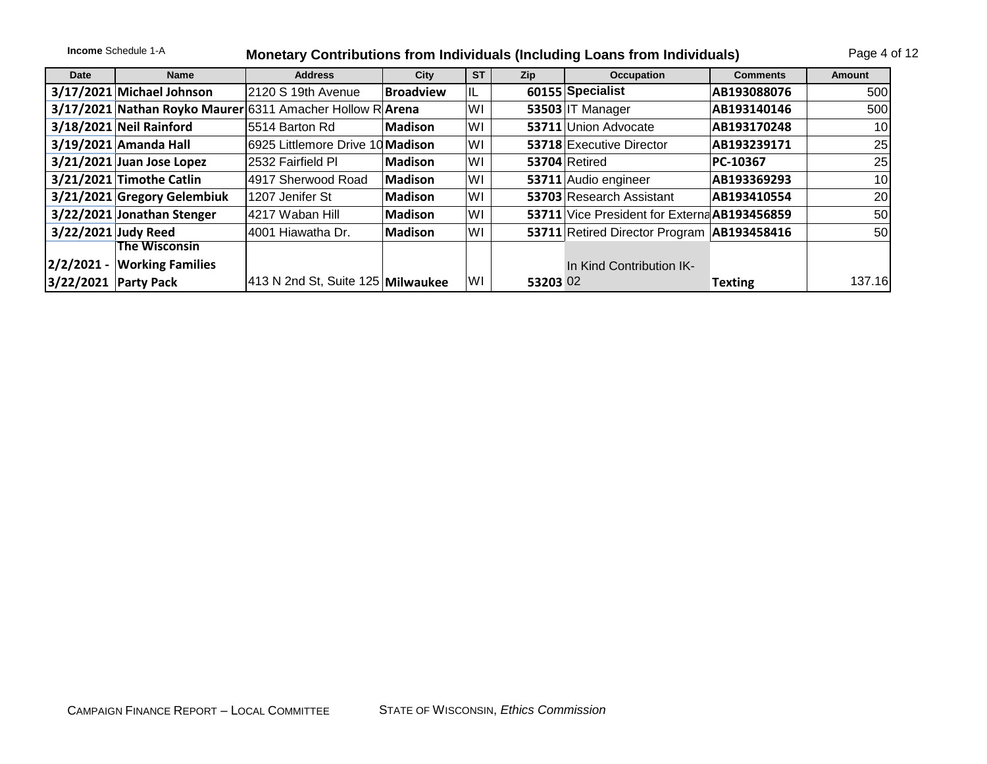|                      | <b>Income Schedule 1-A</b>    |                                                           |                  |           |          | Monetary Contributions from Individuals (Including Loans from Individuals) |                 | Page 4 of 12 |
|----------------------|-------------------------------|-----------------------------------------------------------|------------------|-----------|----------|----------------------------------------------------------------------------|-----------------|--------------|
| Date                 | <b>Name</b>                   | <b>Address</b>                                            | City             | <b>ST</b> | Zip      | <b>Occupation</b>                                                          | <b>Comments</b> | Amount       |
|                      | 3/17/2021 Michael Johnson     | 2120 S 19th Avenue                                        | <b>Broadview</b> | IL        |          | 60155 Specialist                                                           | AB193088076     | 500          |
|                      |                               | 3/17/2021 Nathan Royko Maurer 6311 Amacher Hollow R Arena |                  | WI        |          | 53503 IT Manager                                                           | AB193140146     | 500          |
|                      | $3/18/2021$ Neil Rainford     | 5514 Barton Rd                                            | Madison          | WI        |          | 53711 Union Advocate                                                       | AB193170248     |              |
|                      | 3/19/2021 Amanda Hall         | 6925 Littlemore Drive 10 Madison                          |                  | WI        |          | 53718 Executive Director                                                   | AB193239171     | 25           |
|                      | $3/21/2021$ Juan Jose Lopez   | 2532 Fairfield Pl                                         | Madison          | WI        |          | 53704 Retired                                                              | PC-10367        | 25           |
|                      | 3/21/2021 Timothe Catlin      | 4917 Sherwood Road                                        | Madison          | WI        |          | 53711 Audio engineer                                                       | AB193369293     | 10           |
|                      | 3/21/2021 Gregory Gelembiuk   | 1207 Jenifer St                                           | Madison          | lWI       |          | 53703 Research Assistant                                                   | AB193410554     | 20           |
|                      | 3/22/2021 Jonathan Stenger    | 4217 Waban Hill                                           | Madison          | WI        |          | 53711 Vice President for Externa AB193456859                               |                 | 50           |
| 3/22/2021 Judy Reed  |                               | 4001 Hiawatha Dr.                                         | Madison          | WI        |          | 53711 Retired Director Program   AB193458416                               |                 | 50           |
|                      | The Wisconsin                 |                                                           |                  |           |          |                                                                            |                 |              |
|                      | $2/2/2021 -$ Working Families |                                                           |                  |           |          | In Kind Contribution IK-                                                   |                 |              |
| 3/22/2021 Party Pack |                               | 413 N 2nd St, Suite 125 Milwaukee                         |                  | WI        | 53203 02 |                                                                            | <b>Texting</b>  | 137.16       |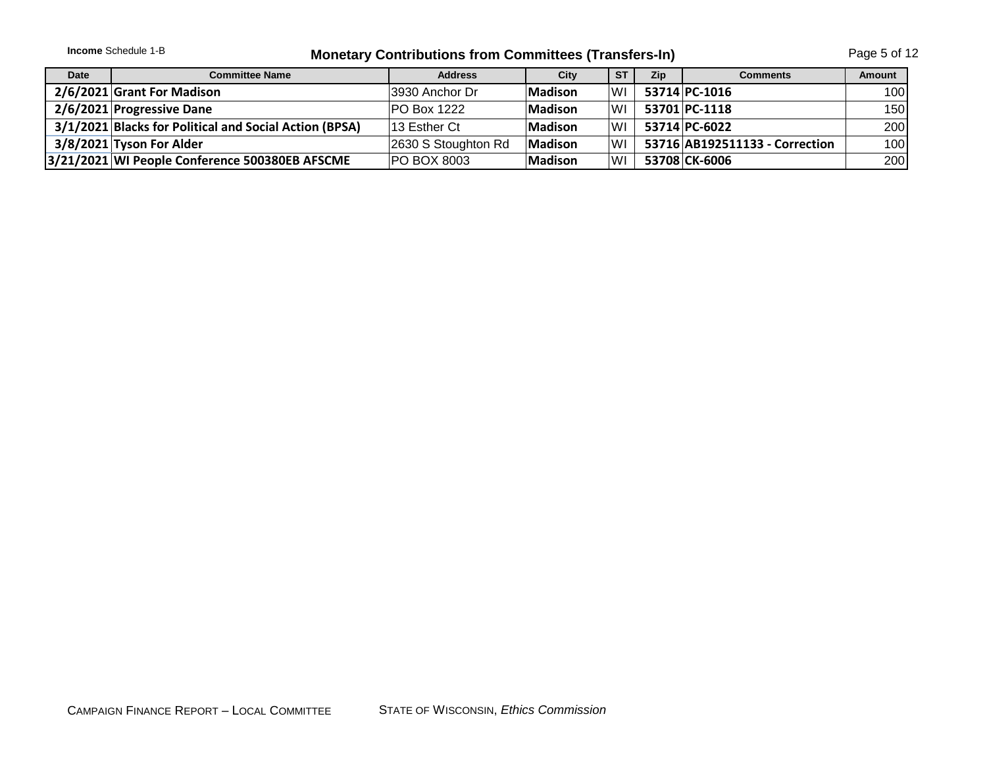|      | <b>Income</b> Schedule 1-B<br><b>Monetary Contributions from Committees (Transfers-In)</b> |                     |                |           |            |                                |               |  |  |
|------|--------------------------------------------------------------------------------------------|---------------------|----------------|-----------|------------|--------------------------------|---------------|--|--|
| Date | <b>Committee Name</b>                                                                      | <b>Address</b>      | City           | <b>ST</b> | <b>Zip</b> | <b>Comments</b>                | <b>Amount</b> |  |  |
|      | 2/6/2021 Grant For Madison                                                                 | 3930 Anchor Dr      | <b>Madison</b> | lwı       |            | 53714 PC-1016                  | 100I          |  |  |
|      | 2/6/2021 Progressive Dane                                                                  | <b>PO Box 1222</b>  | <b>Madison</b> | l WI      |            | 53701 PC-1118                  | 150I          |  |  |
|      | 3/1/2021 Blacks for Political and Social Action (BPSA)                                     | 13 Esther Ct        | <b>Madison</b> | lwı       |            | 53714 PC-6022                  | 200           |  |  |
|      | 3/8/2021 Tyson For Alder                                                                   | 2630 S Stoughton Rd | Madison        | lwı       |            | 53716 AB192511133 - Correction | 100           |  |  |
|      | 3/21/2021 WI People Conference 500380EB AFSCME                                             | <b>PO BOX 8003</b>  | Madison        | WI        |            | 53708 CK-6006                  | 200           |  |  |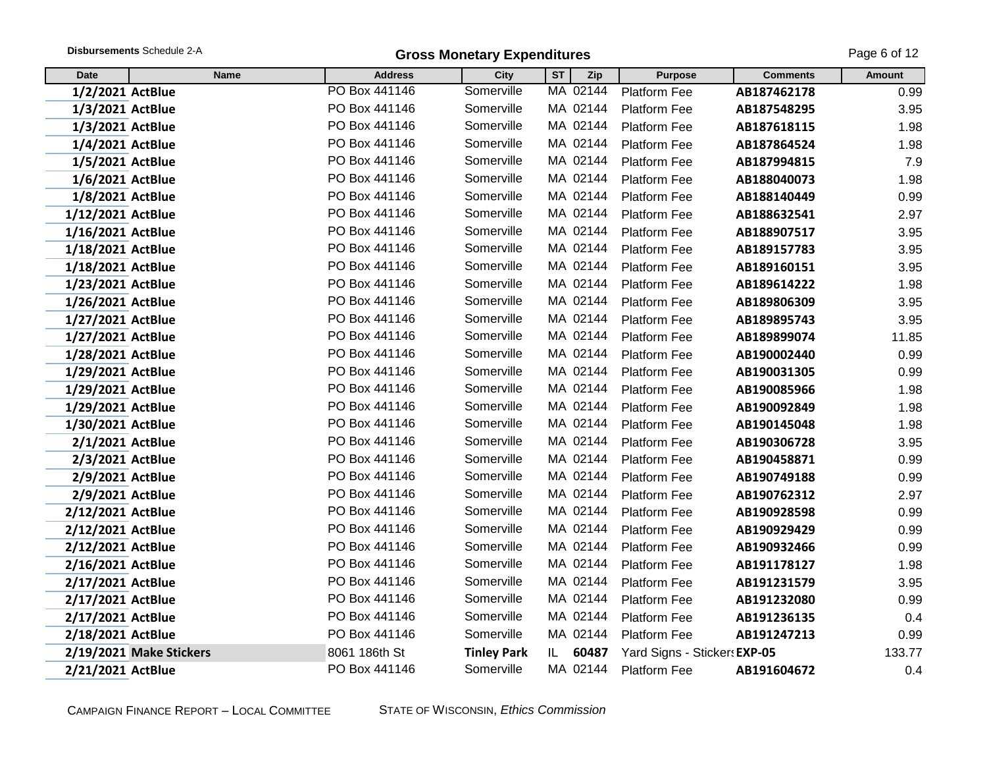|                   | Disbursements Schedule 2-A |                | <b>Gross Monetary Expenditures</b> |           |          |                              |                 | Page 6 of 12 |
|-------------------|----------------------------|----------------|------------------------------------|-----------|----------|------------------------------|-----------------|--------------|
| <b>Date</b>       | <b>Name</b>                | <b>Address</b> | City                               | <b>ST</b> | Zip      | <b>Purpose</b>               | <b>Comments</b> | Amount       |
| 1/2/2021 ActBlue  |                            | PO Box 441146  | Somerville                         |           | MA 02144 | Platform Fee                 | AB187462178     | 0.99         |
| 1/3/2021 ActBlue  |                            | PO Box 441146  | Somerville                         |           | MA 02144 | Platform Fee                 | AB187548295     | 3.95         |
| 1/3/2021 ActBlue  |                            | PO Box 441146  | Somerville                         |           | MA 02144 | <b>Platform Fee</b>          | AB187618115     | 1.98         |
| 1/4/2021 ActBlue  |                            | PO Box 441146  | Somerville                         |           | MA 02144 | <b>Platform Fee</b>          | AB187864524     | 1.98         |
| 1/5/2021 ActBlue  |                            | PO Box 441146  | Somerville                         |           | MA 02144 | <b>Platform Fee</b>          | AB187994815     | 7.9          |
| 1/6/2021 ActBlue  |                            | PO Box 441146  | Somerville                         |           | MA 02144 | <b>Platform Fee</b>          | AB188040073     | 1.98         |
| 1/8/2021 ActBlue  |                            | PO Box 441146  | Somerville                         |           | MA 02144 | <b>Platform Fee</b>          | AB188140449     | 0.99         |
| 1/12/2021 ActBlue |                            | PO Box 441146  | Somerville                         |           | MA 02144 | <b>Platform Fee</b>          | AB188632541     | 2.97         |
| 1/16/2021 ActBlue |                            | PO Box 441146  | Somerville                         |           | MA 02144 | <b>Platform Fee</b>          | AB188907517     | 3.95         |
| 1/18/2021 ActBlue |                            | PO Box 441146  | Somerville                         |           | MA 02144 | Platform Fee                 | AB189157783     | 3.95         |
| 1/18/2021 ActBlue |                            | PO Box 441146  | Somerville                         |           | MA 02144 | Platform Fee                 | AB189160151     | 3.95         |
| 1/23/2021 ActBlue |                            | PO Box 441146  | Somerville                         |           | MA 02144 | Platform Fee                 | AB189614222     | 1.98         |
| 1/26/2021 ActBlue |                            | PO Box 441146  | Somerville                         |           | MA 02144 | Platform Fee                 | AB189806309     | 3.95         |
| 1/27/2021 ActBlue |                            | PO Box 441146  | Somerville                         |           | MA 02144 | Platform Fee                 | AB189895743     | 3.95         |
| 1/27/2021 ActBlue |                            | PO Box 441146  | Somerville                         |           | MA 02144 | <b>Platform Fee</b>          | AB189899074     | 11.85        |
| 1/28/2021 ActBlue |                            | PO Box 441146  | Somerville                         |           | MA 02144 | <b>Platform Fee</b>          | AB190002440     | 0.99         |
| 1/29/2021 ActBlue |                            | PO Box 441146  | Somerville                         |           | MA 02144 | <b>Platform Fee</b>          | AB190031305     | 0.99         |
| 1/29/2021 ActBlue |                            | PO Box 441146  | Somerville                         |           | MA 02144 | <b>Platform Fee</b>          | AB190085966     | 1.98         |
| 1/29/2021 ActBlue |                            | PO Box 441146  | Somerville                         |           | MA 02144 | Platform Fee                 | AB190092849     | 1.98         |
| 1/30/2021 ActBlue |                            | PO Box 441146  | Somerville                         |           | MA 02144 | <b>Platform Fee</b>          | AB190145048     | 1.98         |
| 2/1/2021 ActBlue  |                            | PO Box 441146  | Somerville                         |           | MA 02144 | <b>Platform Fee</b>          | AB190306728     | 3.95         |
| 2/3/2021 ActBlue  |                            | PO Box 441146  | Somerville                         |           | MA 02144 | Platform Fee                 | AB190458871     | 0.99         |
| 2/9/2021 ActBlue  |                            | PO Box 441146  | Somerville                         |           | MA 02144 | <b>Platform Fee</b>          | AB190749188     | 0.99         |
| 2/9/2021 ActBlue  |                            | PO Box 441146  | Somerville                         |           | MA 02144 | <b>Platform Fee</b>          | AB190762312     | 2.97         |
| 2/12/2021 ActBlue |                            | PO Box 441146  | Somerville                         |           | MA 02144 | <b>Platform Fee</b>          | AB190928598     | 0.99         |
| 2/12/2021 ActBlue |                            | PO Box 441146  | Somerville                         |           | MA 02144 | <b>Platform Fee</b>          | AB190929429     | 0.99         |
| 2/12/2021 ActBlue |                            | PO Box 441146  | Somerville                         |           | MA 02144 | <b>Platform Fee</b>          | AB190932466     | 0.99         |
| 2/16/2021 ActBlue |                            | PO Box 441146  | Somerville                         |           | MA 02144 | <b>Platform Fee</b>          | AB191178127     | 1.98         |
| 2/17/2021 ActBlue |                            | PO Box 441146  | Somerville                         |           | MA 02144 | Platform Fee                 | AB191231579     | 3.95         |
| 2/17/2021 ActBlue |                            | PO Box 441146  | Somerville                         |           | MA 02144 | <b>Platform Fee</b>          | AB191232080     | 0.99         |
| 2/17/2021 ActBlue |                            | PO Box 441146  | Somerville                         |           | MA 02144 | <b>Platform Fee</b>          | AB191236135     | 0.4          |
| 2/18/2021 ActBlue |                            | PO Box 441146  | Somerville                         |           | MA 02144 | <b>Platform Fee</b>          | AB191247213     | 0.99         |
|                   | 2/19/2021 Make Stickers    | 8061 186th St  | <b>Tinley Park</b>                 | IL.       | 60487    | Yard Signs - Sticker: EXP-05 |                 | 133.77       |
| 2/21/2021 ActBlue |                            | PO Box 441146  | Somerville                         |           | MA 02144 | Platform Fee                 | AB191604672     | 0.4          |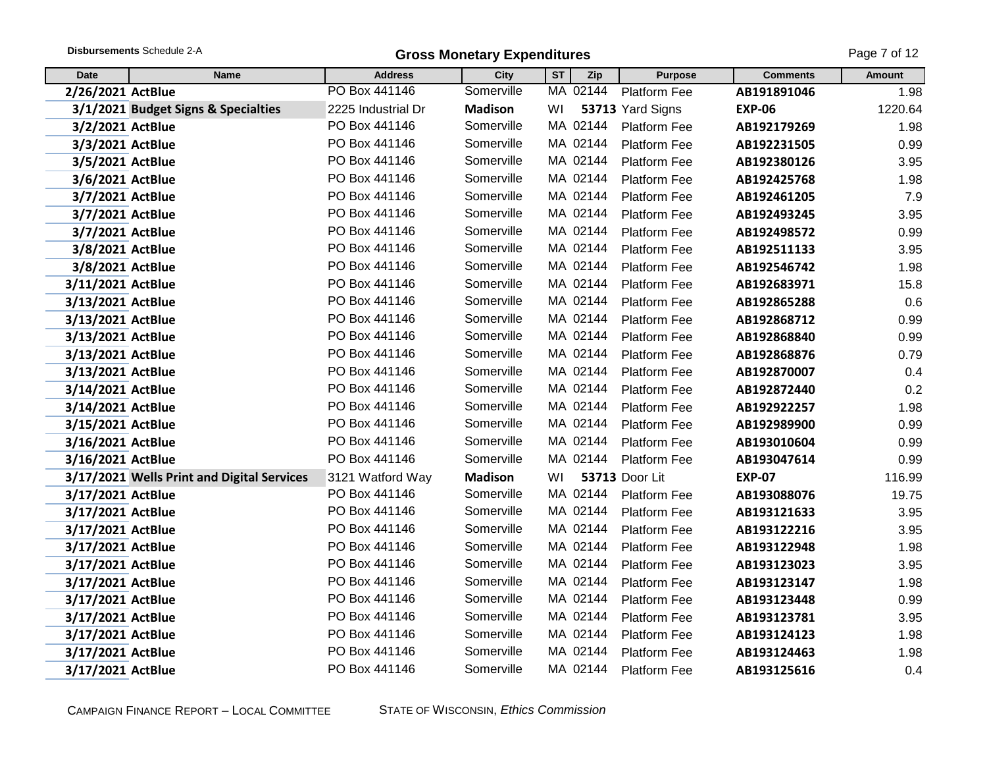|                   | Disbursements Schedule 2-A<br><b>Gross Monetary Expenditures</b> |                    |                |           |          |                     |                 |         |  |
|-------------------|------------------------------------------------------------------|--------------------|----------------|-----------|----------|---------------------|-----------------|---------|--|
| <b>Date</b>       | <b>Name</b>                                                      | <b>Address</b>     | <b>City</b>    | <b>ST</b> | Zip      | <b>Purpose</b>      | <b>Comments</b> | Amount  |  |
| 2/26/2021 ActBlue |                                                                  | PO Box 441146      | Somerville     |           | MA 02144 | Platform Fee        | AB191891046     | 1.98    |  |
|                   | 3/1/2021 Budget Signs & Specialties                              | 2225 Industrial Dr | <b>Madison</b> | WI        |          | 53713 Yard Signs    | <b>EXP-06</b>   | 1220.64 |  |
| 3/2/2021 ActBlue  |                                                                  | PO Box 441146      | Somerville     |           | MA 02144 | <b>Platform Fee</b> | AB192179269     | 1.98    |  |
| 3/3/2021 ActBlue  |                                                                  | PO Box 441146      | Somerville     |           | MA 02144 | <b>Platform Fee</b> | AB192231505     | 0.99    |  |
| 3/5/2021 ActBlue  |                                                                  | PO Box 441146      | Somerville     |           | MA 02144 | Platform Fee        | AB192380126     | 3.95    |  |
| 3/6/2021 ActBlue  |                                                                  | PO Box 441146      | Somerville     |           | MA 02144 | <b>Platform Fee</b> | AB192425768     | 1.98    |  |
| 3/7/2021 ActBlue  |                                                                  | PO Box 441146      | Somerville     |           | MA 02144 | <b>Platform Fee</b> | AB192461205     | 7.9     |  |
| 3/7/2021 ActBlue  |                                                                  | PO Box 441146      | Somerville     |           | MA 02144 | Platform Fee        | AB192493245     | 3.95    |  |
| 3/7/2021 ActBlue  |                                                                  | PO Box 441146      | Somerville     |           | MA 02144 | <b>Platform Fee</b> | AB192498572     | 0.99    |  |
| 3/8/2021 ActBlue  |                                                                  | PO Box 441146      | Somerville     |           | MA 02144 | <b>Platform Fee</b> | AB192511133     | 3.95    |  |
| 3/8/2021 ActBlue  |                                                                  | PO Box 441146      | Somerville     |           | MA 02144 | <b>Platform Fee</b> | AB192546742     | 1.98    |  |
| 3/11/2021 ActBlue |                                                                  | PO Box 441146      | Somerville     |           | MA 02144 | Platform Fee        | AB192683971     | 15.8    |  |
| 3/13/2021 ActBlue |                                                                  | PO Box 441146      | Somerville     |           | MA 02144 | Platform Fee        | AB192865288     | 0.6     |  |
| 3/13/2021 ActBlue |                                                                  | PO Box 441146      | Somerville     |           | MA 02144 | Platform Fee        | AB192868712     | 0.99    |  |
| 3/13/2021 ActBlue |                                                                  | PO Box 441146      | Somerville     |           | MA 02144 | <b>Platform Fee</b> | AB192868840     | 0.99    |  |
| 3/13/2021 ActBlue |                                                                  | PO Box 441146      | Somerville     |           | MA 02144 | <b>Platform Fee</b> | AB192868876     | 0.79    |  |
| 3/13/2021 ActBlue |                                                                  | PO Box 441146      | Somerville     |           | MA 02144 | <b>Platform Fee</b> | AB192870007     | 0.4     |  |
| 3/14/2021 ActBlue |                                                                  | PO Box 441146      | Somerville     |           | MA 02144 | Platform Fee        | AB192872440     | 0.2     |  |
| 3/14/2021 ActBlue |                                                                  | PO Box 441146      | Somerville     |           | MA 02144 | Platform Fee        | AB192922257     | 1.98    |  |
| 3/15/2021 ActBlue |                                                                  | PO Box 441146      | Somerville     |           | MA 02144 | Platform Fee        | AB192989900     | 0.99    |  |
| 3/16/2021 ActBlue |                                                                  | PO Box 441146      | Somerville     |           | MA 02144 | <b>Platform Fee</b> | AB193010604     | 0.99    |  |
| 3/16/2021 ActBlue |                                                                  | PO Box 441146      | Somerville     |           | MA 02144 | <b>Platform Fee</b> | AB193047614     | 0.99    |  |
|                   | 3/17/2021 Wells Print and Digital Services                       | 3121 Watford Way   | <b>Madison</b> | WI        |          | 53713 Door Lit      | <b>EXP-07</b>   | 116.99  |  |
| 3/17/2021 ActBlue |                                                                  | PO Box 441146      | Somerville     |           | MA 02144 | Platform Fee        | AB193088076     | 19.75   |  |
| 3/17/2021 ActBlue |                                                                  | PO Box 441146      | Somerville     |           | MA 02144 | Platform Fee        | AB193121633     | 3.95    |  |
| 3/17/2021 ActBlue |                                                                  | PO Box 441146      | Somerville     |           | MA 02144 | <b>Platform Fee</b> | AB193122216     | 3.95    |  |
| 3/17/2021 ActBlue |                                                                  | PO Box 441146      | Somerville     |           | MA 02144 | Platform Fee        | AB193122948     | 1.98    |  |
| 3/17/2021 ActBlue |                                                                  | PO Box 441146      | Somerville     |           | MA 02144 | Platform Fee        | AB193123023     | 3.95    |  |
| 3/17/2021 ActBlue |                                                                  | PO Box 441146      | Somerville     |           | MA 02144 | Platform Fee        | AB193123147     | 1.98    |  |
| 3/17/2021 ActBlue |                                                                  | PO Box 441146      | Somerville     |           | MA 02144 | Platform Fee        | AB193123448     | 0.99    |  |
| 3/17/2021 ActBlue |                                                                  | PO Box 441146      | Somerville     |           | MA 02144 | Platform Fee        | AB193123781     | 3.95    |  |
| 3/17/2021 ActBlue |                                                                  | PO Box 441146      | Somerville     |           | MA 02144 | Platform Fee        | AB193124123     | 1.98    |  |
| 3/17/2021 ActBlue |                                                                  | PO Box 441146      | Somerville     |           | MA 02144 | Platform Fee        | AB193124463     | 1.98    |  |
| 3/17/2021 ActBlue |                                                                  | PO Box 441146      | Somerville     |           | MA 02144 | <b>Platform Fee</b> | AB193125616     | 0.4     |  |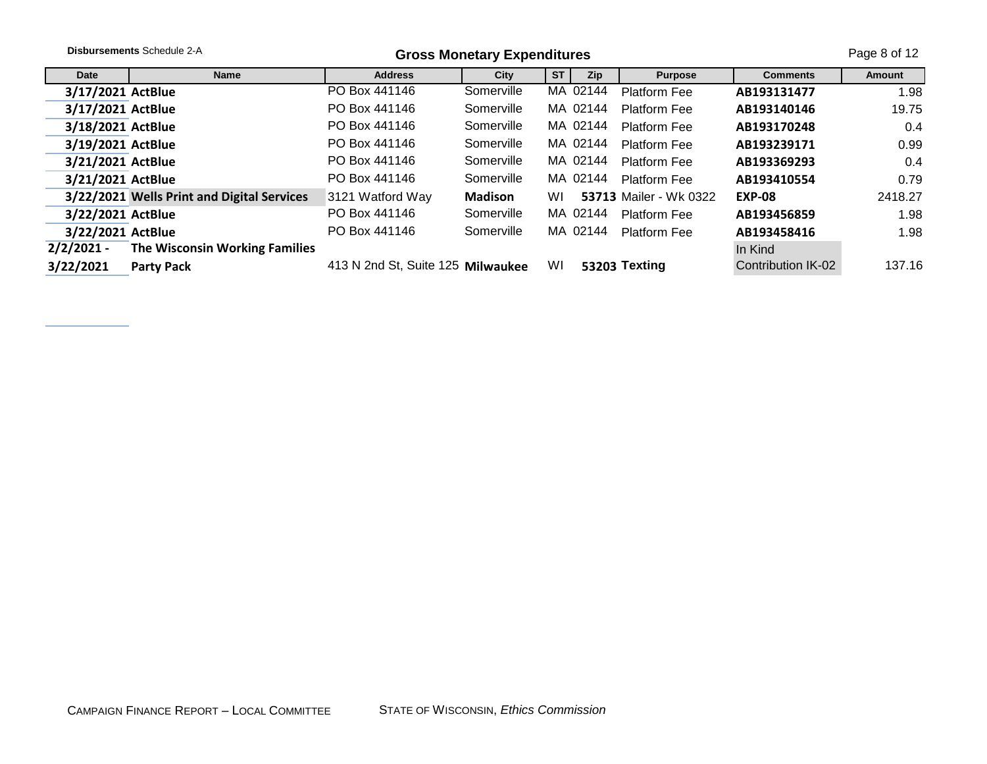|                   | <b>Disbursements Schedule 2-A</b>          |                                   | <b>Gross Monetary Expenditures</b> |           |            |                               |                    | Page 8 of 12 |
|-------------------|--------------------------------------------|-----------------------------------|------------------------------------|-----------|------------|-------------------------------|--------------------|--------------|
| Date              | <b>Name</b>                                | <b>Address</b>                    | City                               | <b>ST</b> | <b>Zip</b> | <b>Purpose</b>                | <b>Comments</b>    | Amount       |
| 3/17/2021 ActBlue |                                            | PO Box 441146                     | Somerville                         |           | MA 02144   | <b>Platform Fee</b>           | AB193131477        | 1.98         |
| 3/17/2021 ActBlue |                                            | PO Box 441146                     | Somerville                         |           | MA 02144   | <b>Platform Fee</b>           | AB193140146        | 19.75        |
| 3/18/2021 ActBlue |                                            | PO Box 441146                     | Somerville                         |           | MA 02144   | <b>Platform Fee</b>           | AB193170248        | 0.4          |
| 3/19/2021 ActBlue |                                            | PO Box 441146                     | Somerville                         |           | MA 02144   | <b>Platform Fee</b>           | AB193239171        | 0.99         |
| 3/21/2021 ActBlue |                                            | PO Box 441146                     | Somerville                         |           | MA 02144   | <b>Platform Fee</b>           | AB193369293        | 0.4          |
| 3/21/2021 ActBlue |                                            | PO Box 441146                     | Somerville                         |           | MA 02144   | Platform Fee                  | AB193410554        | 0.79         |
|                   | 3/22/2021 Wells Print and Digital Services | 3121 Watford Way                  | <b>Madison</b>                     | WI        |            | <b>53713 Mailer - Wk 0322</b> | <b>EXP-08</b>      | 2418.27      |
| 3/22/2021 ActBlue |                                            | PO Box 441146                     | Somerville                         |           | MA 02144   | <b>Platform Fee</b>           | AB193456859        | 1.98         |
| 3/22/2021 ActBlue |                                            | PO Box 441146                     | Somerville                         |           | MA 02144   | Platform Fee                  | AB193458416        | 1.98         |
| $2/2/2021 -$      | The Wisconsin Working Families             |                                   |                                    |           |            |                               | In Kind            |              |
| 3/22/2021         | <b>Party Pack</b>                          | 413 N 2nd St, Suite 125 Milwaukee |                                    | WI        |            | 53203 Texting                 | Contribution IK-02 | 137.16       |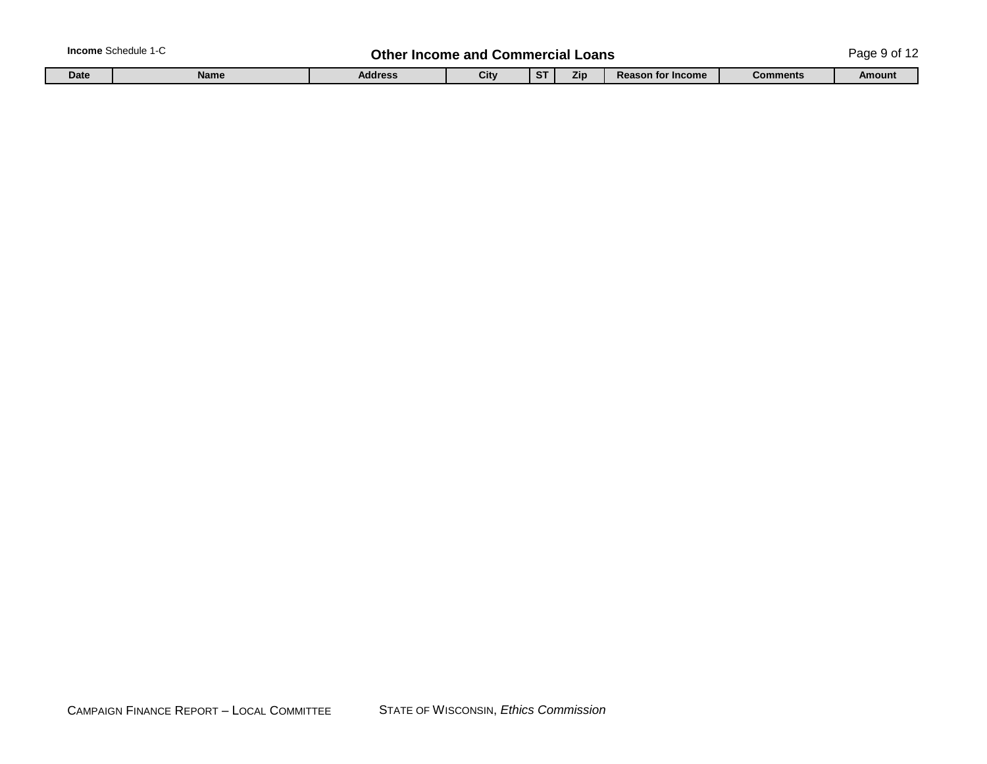| <b>Income Schedule 1-C</b> |  |
|----------------------------|--|
|----------------------------|--|

## **In the Income and Commercial Loans Commercial Loans** Page 9 of 12

|  | Date | <b>Name</b> | <b>Address</b> | Citv | $\cdots$ | Zıp | $\lambda$ n for Income<br>Rea<br>. . | <b>Comments</b> | <b>Amoun</b> |
|--|------|-------------|----------------|------|----------|-----|--------------------------------------|-----------------|--------------|
|--|------|-------------|----------------|------|----------|-----|--------------------------------------|-----------------|--------------|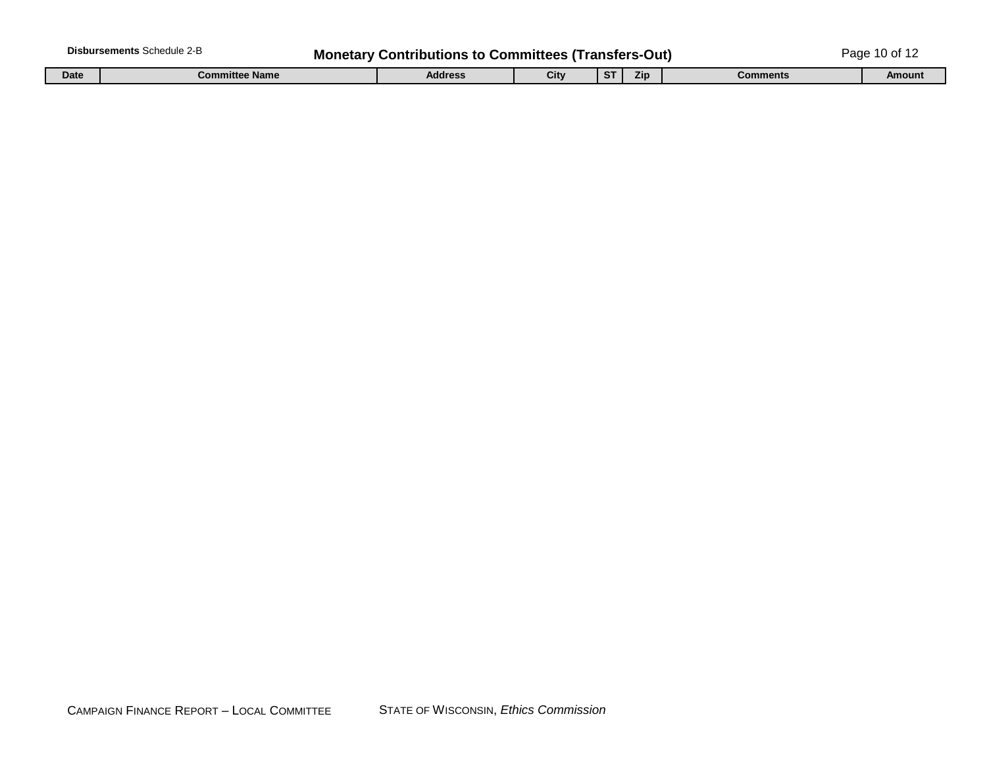|             | <b>Disbursements Schedule 2-B</b> | <b>Monetary Contributions to Committees (Transfers-Out)</b> |      |             |     |          | Page 10 of 12 |
|-------------|-----------------------------------|-------------------------------------------------------------|------|-------------|-----|----------|---------------|
| <b>Date</b> | <b>Committee Name</b>             | <b>Address</b>                                              | City | $_{\rm cr}$ | Zip | Comments | Amount        |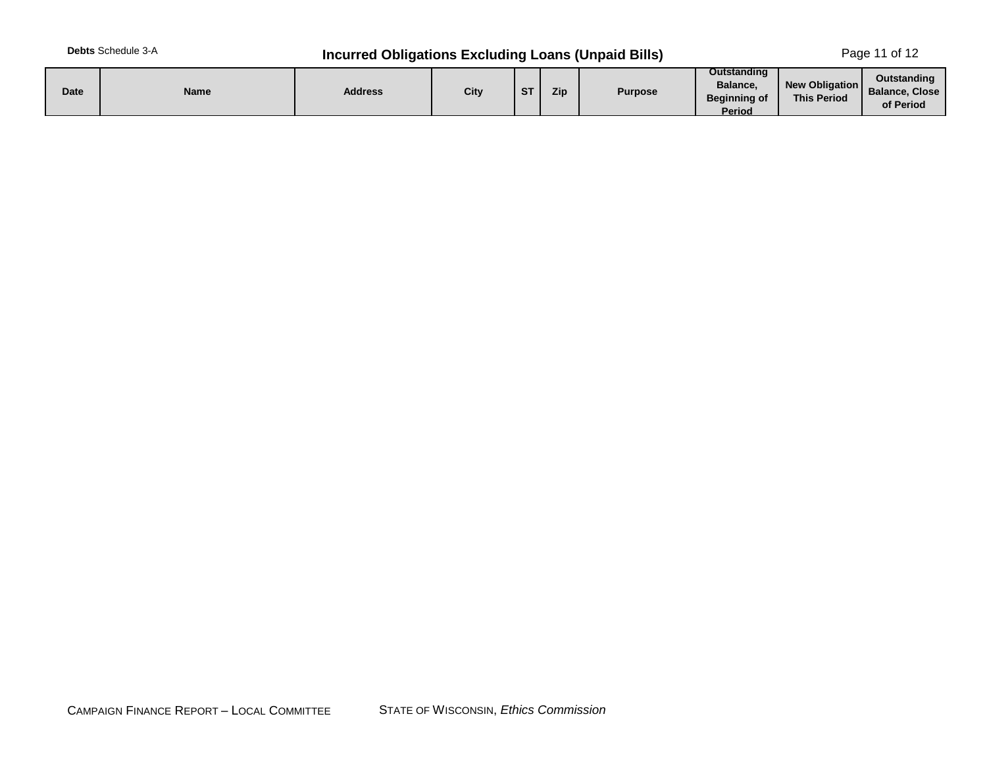# **Debts** Schedule 3-A **Incurred Obligations Excluding Loans (Unpaid Bills)** Page 11 of 12

| Outstanding<br>New Obligation<br>Balance.<br>City<br>Zip<br>Date<br><b>Address</b><br>$c_{\rm T}$<br>Name<br><b>Purpose</b><br><b>DI</b><br><b>This Period</b><br>Beainnina of<br>Period | Outstanding<br><b>Balance, Close</b><br>of Period |
|------------------------------------------------------------------------------------------------------------------------------------------------------------------------------------------|---------------------------------------------------|
|------------------------------------------------------------------------------------------------------------------------------------------------------------------------------------------|---------------------------------------------------|